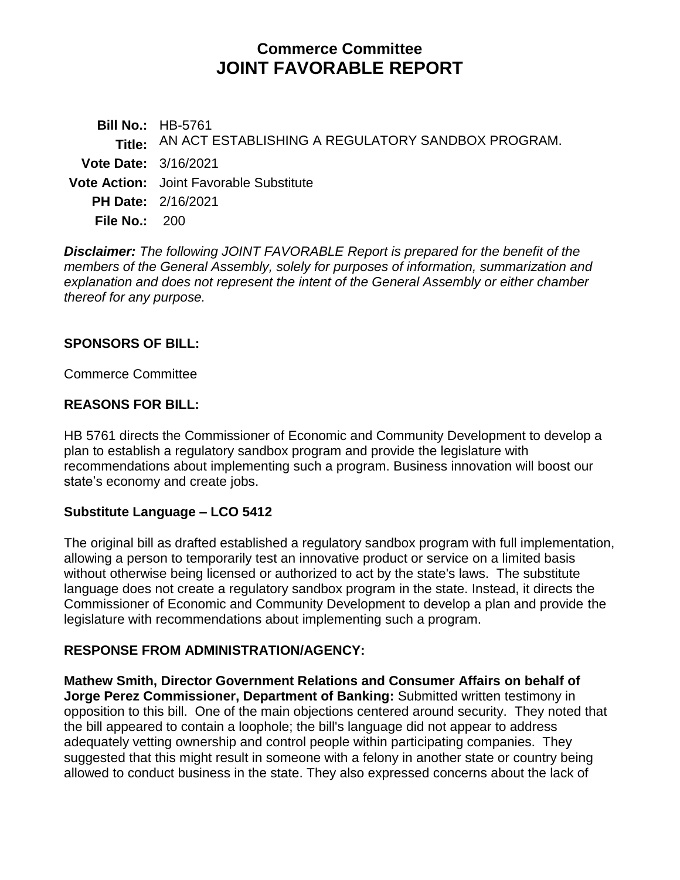# **Commerce Committee JOINT FAVORABLE REPORT**

**Bill No.:** HB-5761 **Title:** AN ACT ESTABLISHING A REGULATORY SANDBOX PROGRAM. **Vote Date:** 3/16/2021 **Vote Action:** Joint Favorable Substitute **PH Date:** 2/16/2021 **File No.:** 200

*Disclaimer: The following JOINT FAVORABLE Report is prepared for the benefit of the members of the General Assembly, solely for purposes of information, summarization and explanation and does not represent the intent of the General Assembly or either chamber thereof for any purpose.*

### **SPONSORS OF BILL:**

Commerce Committee

#### **REASONS FOR BILL:**

HB 5761 directs the Commissioner of Economic and Community Development to develop a plan to establish a regulatory sandbox program and provide the legislature with recommendations about implementing such a program. Business innovation will boost our state's economy and create jobs.

#### **Substitute Language – LCO 5412**

The original bill as drafted established a regulatory sandbox program with full implementation, allowing a person to temporarily test an innovative product or service on a limited basis without otherwise being licensed or authorized to act by the state's laws. The substitute language does not create a regulatory sandbox program in the state. Instead, it directs the Commissioner of Economic and Community Development to develop a plan and provide the legislature with recommendations about implementing such a program.

## **RESPONSE FROM ADMINISTRATION/AGENCY:**

**Mathew Smith, Director Government Relations and Consumer Affairs on behalf of Jorge Perez Commissioner, Department of Banking:** Submitted written testimony in opposition to this bill. One of the main objections centered around security. They noted that the bill appeared to contain a loophole; the bill's language did not appear to address adequately vetting ownership and control people within participating companies. They suggested that this might result in someone with a felony in another state or country being allowed to conduct business in the state. They also expressed concerns about the lack of